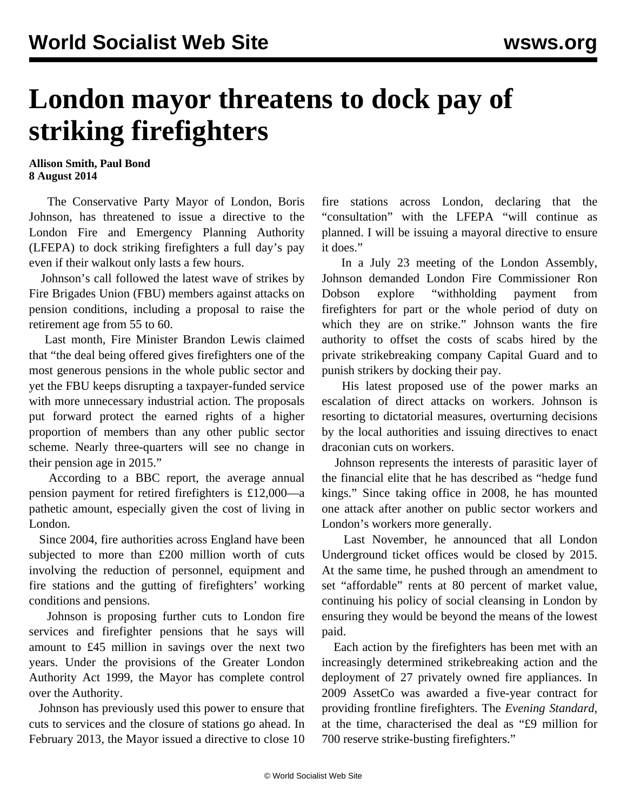## **London mayor threatens to dock pay of striking firefighters**

**Allison Smith, Paul Bond 8 August 2014**

 The Conservative Party Mayor of London, Boris Johnson, has threatened to issue a directive to the London Fire and Emergency Planning Authority (LFEPA) to dock striking firefighters a full day's pay even if their walkout only lasts a few hours.

 Johnson's call followed the latest wave of strikes by Fire Brigades Union (FBU) members against attacks on pension conditions, including a proposal to raise the retirement age from 55 to 60.

 Last month, Fire Minister Brandon Lewis claimed that "the deal being offered gives firefighters one of the most generous pensions in the whole public sector and yet the FBU keeps disrupting a taxpayer-funded service with more unnecessary industrial action. The proposals put forward protect the earned rights of a higher proportion of members than any other public sector scheme. Nearly three-quarters will see no change in their pension age in 2015."

 According to a BBC report, the average annual pension payment for retired firefighters is £12,000—a pathetic amount, especially given the cost of living in London.

 Since 2004, fire authorities across England have been subjected to more than £200 million worth of cuts involving the reduction of personnel, equipment and fire stations and the gutting of firefighters' working conditions and pensions.

 Johnson is proposing further cuts to London fire services and firefighter pensions that he says will amount to £45 million in savings over the next two years. Under the provisions of the Greater London Authority Act 1999, the Mayor has complete control over the Authority.

 Johnson has previously used this power to ensure that cuts to services and the closure of stations go ahead. In February 2013, the Mayor issued a directive to close 10

fire stations across London, declaring that the "consultation" with the LFEPA "will continue as planned. I will be issuing a mayoral directive to ensure it does."

 In a July 23 meeting of the London Assembly, Johnson demanded London Fire Commissioner Ron Dobson explore "withholding payment from firefighters for part or the whole period of duty on which they are on strike." Johnson wants the fire authority to offset the costs of scabs hired by the private strikebreaking company Capital Guard and to punish strikers by docking their pay.

 His latest proposed use of the power marks an escalation of direct attacks on workers. Johnson is resorting to dictatorial measures, overturning decisions by the local authorities and issuing directives to enact draconian cuts on workers.

 Johnson represents the interests of parasitic layer of the financial elite that he has described as "hedge fund kings." Since taking office in 2008, he has mounted one attack after another on public sector workers and London's workers more generally.

 Last November, he announced that all London Underground ticket offices would be closed by 2015. At the same time, he pushed through an amendment to set "affordable" rents at 80 percent of market value, continuing his policy of social cleansing in London by ensuring they would be beyond the means of the lowest paid.

 Each action by the firefighters has been met with an increasingly determined strikebreaking action and the deployment of 27 privately owned fire appliances. In 2009 AssetCo was awarded a five-year contract for providing frontline firefighters. The *Evening Standard,* at the time, characterised the deal as "£9 million for 700 reserve strike-busting firefighters."